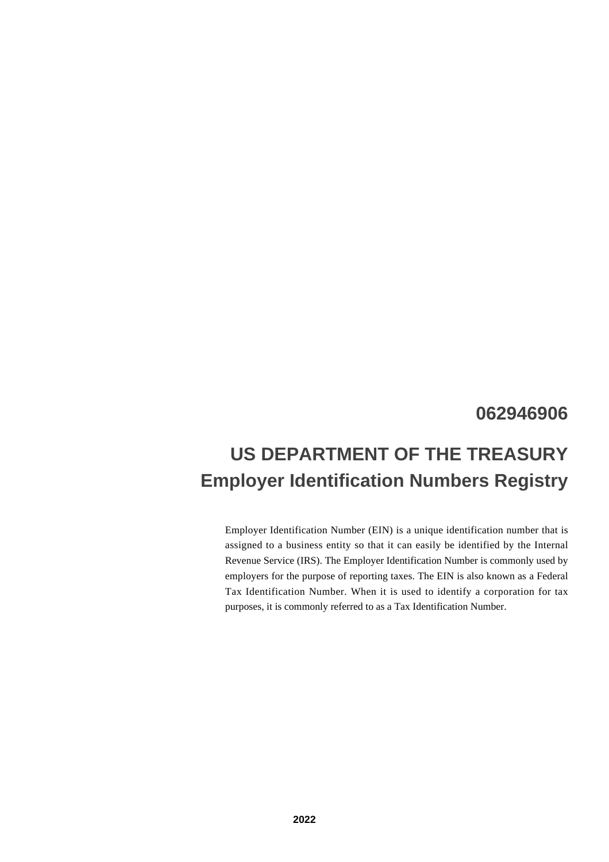## **062946906**

# **US DEPARTMENT OF THE TREASURY Employer Identification Numbers Registry**

Employer Identification Number (EIN) is a unique identification number that is assigned to a business entity so that it can easily be identified by the Internal Revenue Service (IRS). The Employer Identification Number is commonly used by employers for the purpose of reporting taxes. The EIN is also known as a Federal Tax Identification Number. When it is used to identify a corporation for tax purposes, it is commonly referred to as a Tax Identification Number.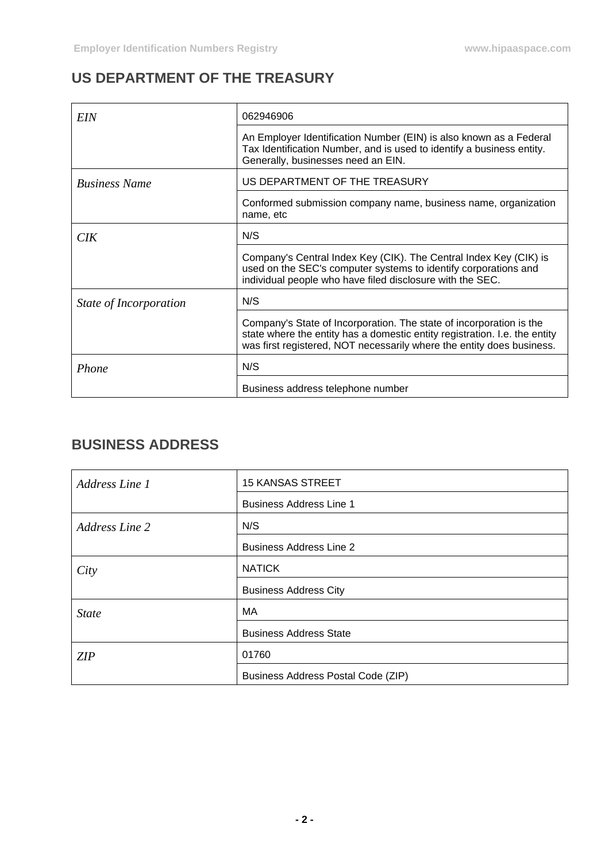## **US DEPARTMENT OF THE TREASURY**

| EIN                    | 062946906                                                                                                                                                                                                                  |
|------------------------|----------------------------------------------------------------------------------------------------------------------------------------------------------------------------------------------------------------------------|
|                        | An Employer Identification Number (EIN) is also known as a Federal<br>Tax Identification Number, and is used to identify a business entity.<br>Generally, businesses need an EIN.                                          |
| <b>Business Name</b>   | US DEPARTMENT OF THE TREASURY                                                                                                                                                                                              |
|                        | Conformed submission company name, business name, organization<br>name, etc                                                                                                                                                |
| CIK <sup>-</sup>       | N/S                                                                                                                                                                                                                        |
|                        | Company's Central Index Key (CIK). The Central Index Key (CIK) is<br>used on the SEC's computer systems to identify corporations and<br>individual people who have filed disclosure with the SEC.                          |
| State of Incorporation | N/S                                                                                                                                                                                                                        |
|                        | Company's State of Incorporation. The state of incorporation is the<br>state where the entity has a domestic entity registration. I.e. the entity<br>was first registered, NOT necessarily where the entity does business. |
| Phone                  | N/S                                                                                                                                                                                                                        |
|                        | Business address telephone number                                                                                                                                                                                          |

#### **BUSINESS ADDRESS**

| Address Line 1        | <b>15 KANSAS STREET</b>            |
|-----------------------|------------------------------------|
|                       | <b>Business Address Line 1</b>     |
| <b>Address Line 2</b> | N/S                                |
|                       | <b>Business Address Line 2</b>     |
| City                  | <b>NATICK</b>                      |
|                       | <b>Business Address City</b>       |
| <b>State</b>          | MA                                 |
|                       | <b>Business Address State</b>      |
| ZIP                   | 01760                              |
|                       | Business Address Postal Code (ZIP) |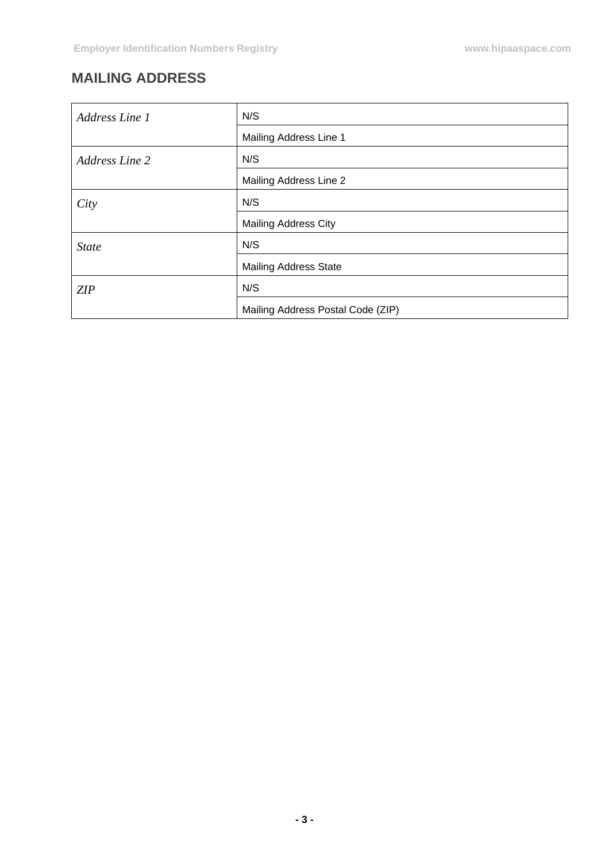# **MAILING ADDRESS**

| Address Line 1        | N/S                               |
|-----------------------|-----------------------------------|
|                       | Mailing Address Line 1            |
| <b>Address Line 2</b> | N/S                               |
|                       | Mailing Address Line 2            |
| City                  | N/S                               |
|                       | <b>Mailing Address City</b>       |
| <b>State</b>          | N/S                               |
|                       | <b>Mailing Address State</b>      |
| ZIP                   | N/S                               |
|                       | Mailing Address Postal Code (ZIP) |